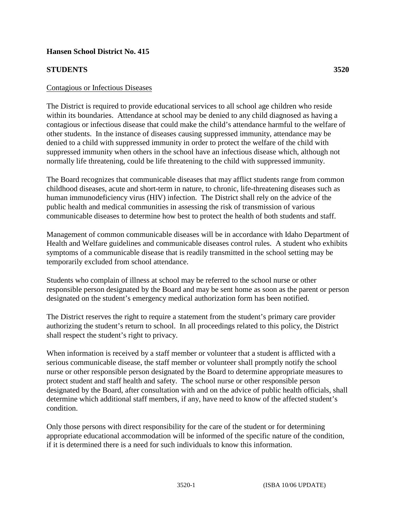## **Hansen School District No. 415**

## **STUDENTS 3520**

The District is required to provide educational services to all school age children who reside within its boundaries. Attendance at school may be denied to any child diagnosed as having a contagious or infectious disease that could make the child's attendance harmful to the welfare of other students. In the instance of diseases causing suppressed immunity, attendance may be denied to a child with suppressed immunity in order to protect the welfare of the child with suppressed immunity when others in the school have an infectious disease which, although not normally life threatening, could be life threatening to the child with suppressed immunity.

The Board recognizes that communicable diseases that may afflict students range from common childhood diseases, acute and short-term in nature, to chronic, life-threatening diseases such as human immunodeficiency virus (HIV) infection. The District shall rely on the advice of the public health and medical communities in assessing the risk of transmission of various communicable diseases to determine how best to protect the health of both students and staff.

Management of common communicable diseases will be in accordance with Idaho Department of Health and Welfare guidelines and communicable diseases control rules. A student who exhibits symptoms of a communicable disease that is readily transmitted in the school setting may be temporarily excluded from school attendance.

Students who complain of illness at school may be referred to the school nurse or other responsible person designated by the Board and may be sent home as soon as the parent or person designated on the student's emergency medical authorization form has been notified.

The District reserves the right to require a statement from the student's primary care provider authorizing the student's return to school. In all proceedings related to this policy, the District shall respect the student's right to privacy.

When information is received by a staff member or volunteer that a student is afflicted with a serious communicable disease, the staff member or volunteer shall promptly notify the school nurse or other responsible person designated by the Board to determine appropriate measures to protect student and staff health and safety. The school nurse or other responsible person designated by the Board, after consultation with and on the advice of public health officials, shall determine which additional staff members, if any, have need to know of the affected student's condition.

Only those persons with direct responsibility for the care of the student or for determining appropriate educational accommodation will be informed of the specific nature of the condition, if it is determined there is a need for such individuals to know this information.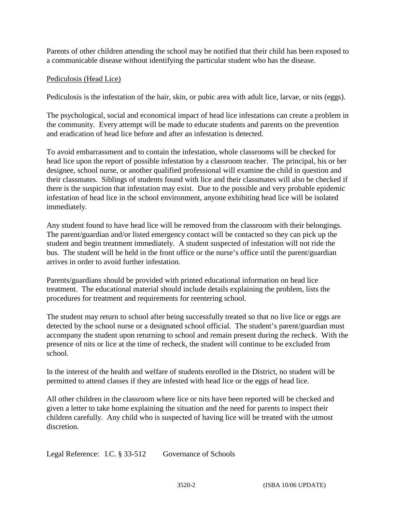Parents of other children attending the school may be notified that their child has been exposed to a communicable disease without identifying the particular student who has the disease.

## Pediculosis (Head Lice)

Pediculosis is the infestation of the hair, skin, or pubic area with adult lice, larvae, or nits (eggs).

The psychological, social and economical impact of head lice infestations can create a problem in the community. Every attempt will be made to educate students and parents on the prevention and eradication of head lice before and after an infestation is detected.

To avoid embarrassment and to contain the infestation, whole classrooms will be checked for head lice upon the report of possible infestation by a classroom teacher. The principal, his or her designee, school nurse, or another qualified professional will examine the child in question and their classmates. Siblings of students found with lice and their classmates will also be checked if there is the suspicion that infestation may exist. Due to the possible and very probable epidemic infestation of head lice in the school environment, anyone exhibiting head lice will be isolated immediately.

Any student found to have head lice will be removed from the classroom with their belongings. The parent/guardian and/or listed emergency contact will be contacted so they can pick up the student and begin treatment immediately. A student suspected of infestation will not ride the bus. The student will be held in the front office or the nurse's office until the parent/guardian arrives in order to avoid further infestation.

Parents/guardians should be provided with printed educational information on head lice treatment. The educational material should include details explaining the problem, lists the procedures for treatment and requirements for reentering school.

The student may return to school after being successfully treated so that no live lice or eggs are detected by the school nurse or a designated school official. The student's parent/guardian must accompany the student upon returning to school and remain present during the recheck. With the presence of nits or lice at the time of recheck, the student will continue to be excluded from school.

In the interest of the health and welfare of students enrolled in the District, no student will be permitted to attend classes if they are infested with head lice or the eggs of head lice.

All other children in the classroom where lice or nits have been reported will be checked and given a letter to take home explaining the situation and the need for parents to inspect their children carefully. Any child who is suspected of having lice will be treated with the utmost discretion.

Legal Reference: I.C. § 33-512 Governance of Schools